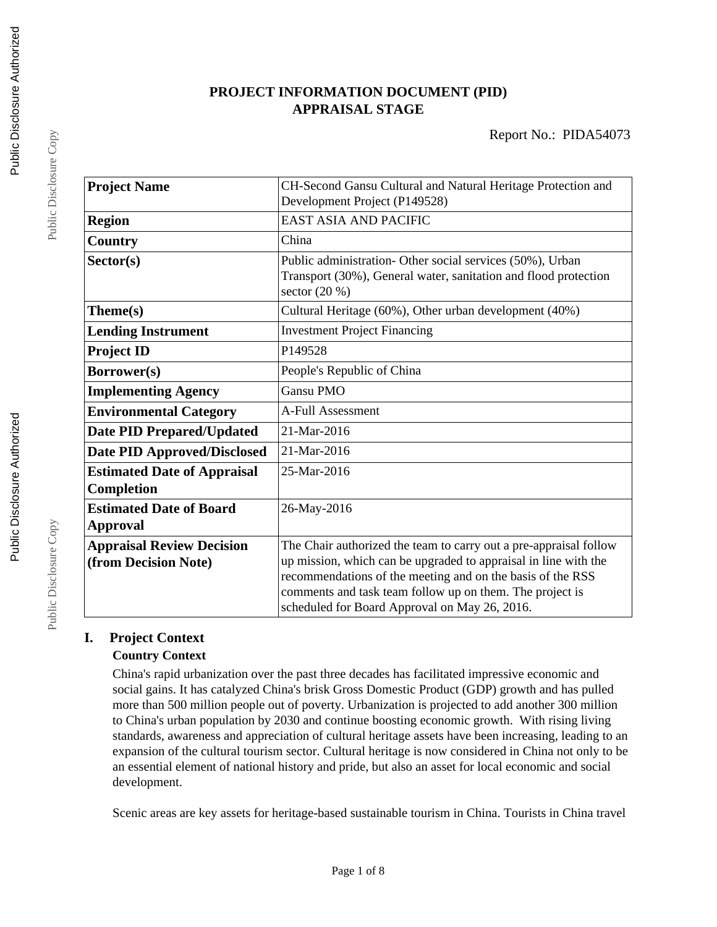# **PROJECT INFORMATION DOCUMENT (PID) APPRAISAL STAGE**

| <b>Project Name</b>                | CH-Second Gansu Cultural and Natural Heritage Protection and      |  |  |
|------------------------------------|-------------------------------------------------------------------|--|--|
|                                    | Development Project (P149528)                                     |  |  |
| <b>Region</b>                      | <b>EAST ASIA AND PACIFIC</b>                                      |  |  |
| Country                            | China                                                             |  |  |
| Sector(s)                          | Public administration- Other social services (50%), Urban         |  |  |
|                                    | Transport (30%), General water, sanitation and flood protection   |  |  |
|                                    | sector $(20\%)$                                                   |  |  |
| Theme(s)                           | Cultural Heritage (60%), Other urban development (40%)            |  |  |
| <b>Lending Instrument</b>          | <b>Investment Project Financing</b>                               |  |  |
| <b>Project ID</b>                  | P149528                                                           |  |  |
| Borrower(s)                        | People's Republic of China                                        |  |  |
| <b>Implementing Agency</b>         | <b>Gansu PMO</b>                                                  |  |  |
| <b>Environmental Category</b>      | A-Full Assessment                                                 |  |  |
| <b>Date PID Prepared/Updated</b>   | 21-Mar-2016                                                       |  |  |
| <b>Date PID Approved/Disclosed</b> | 21-Mar-2016                                                       |  |  |
| <b>Estimated Date of Appraisal</b> | 25-Mar-2016                                                       |  |  |
| Completion                         |                                                                   |  |  |
| <b>Estimated Date of Board</b>     | 26-May-2016                                                       |  |  |
| <b>Approval</b>                    |                                                                   |  |  |
| <b>Appraisal Review Decision</b>   | The Chair authorized the team to carry out a pre-appraisal follow |  |  |
| (from Decision Note)               | up mission, which can be upgraded to appraisal in line with the   |  |  |
|                                    | recommendations of the meeting and on the basis of the RSS        |  |  |
|                                    | comments and task team follow up on them. The project is          |  |  |
|                                    | scheduled for Board Approval on May 26, 2016.                     |  |  |

# **I. Project Context Country Context**

China's rapid urbanization over the past three decades has facilitated impressive economic and social gains. It has catalyzed China's brisk Gross Domestic Product (GDP) growth and has pulled more than 500 million people out of poverty. Urbanization is projected to add another 300 million to China's urban population by 2030 and continue boosting economic growth. With rising living standards, awareness and appreciation of cultural heritage assets have been increasing, leading to an expansion of the cultural tourism sector. Cultural heritage is now considered in China not only to be an essential element of national history and pride, but also an asset for local economic and social development.

Scenic areas are key assets for heritage-based sustainable tourism in China. Tourists in China travel

Public Disclosure Copy

Public Disclosure Copy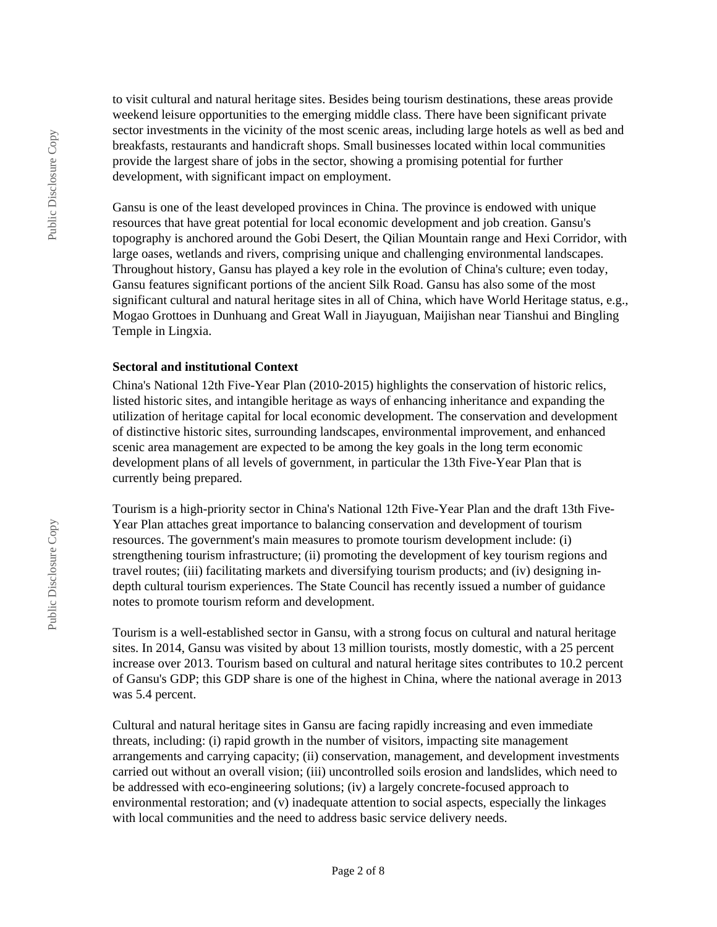to visit cultural and natural heritage sites. Besides being tourism destinations, these areas provide weekend leisure opportunities to the emerging middle class. There have been significant private sector investments in the vicinity of the most scenic areas, including large hotels as well as bed and breakfasts, restaurants and handicraft shops. Small businesses located within local communities provide the largest share of jobs in the sector, showing a promising potential for further development, with significant impact on employment.

Gansu is one of the least developed provinces in China. The province is endowed with unique resources that have great potential for local economic development and job creation. Gansu's topography is anchored around the Gobi Desert, the Qilian Mountain range and Hexi Corridor, with large oases, wetlands and rivers, comprising unique and challenging environmental landscapes. Throughout history, Gansu has played a key role in the evolution of China's culture; even today, Gansu features significant portions of the ancient Silk Road. Gansu has also some of the most significant cultural and natural heritage sites in all of China, which have World Heritage status, e.g., Mogao Grottoes in Dunhuang and Great Wall in Jiayuguan, Maijishan near Tianshui and Bingling Temple in Lingxia.

#### **Sectoral and institutional Context**

China's National 12th Five-Year Plan (2010-2015) highlights the conservation of historic relics, listed historic sites, and intangible heritage as ways of enhancing inheritance and expanding the utilization of heritage capital for local economic development. The conservation and development of distinctive historic sites, surrounding landscapes, environmental improvement, and enhanced scenic area management are expected to be among the key goals in the long term economic development plans of all levels of government, in particular the 13th Five-Year Plan that is currently being prepared.

Tourism is a high-priority sector in China's National 12th Five-Year Plan and the draft 13th Five-Year Plan attaches great importance to balancing conservation and development of tourism resources. The government's main measures to promote tourism development include: (i) strengthening tourism infrastructure; (ii) promoting the development of key tourism regions and travel routes; (iii) facilitating markets and diversifying tourism products; and (iv) designing indepth cultural tourism experiences. The State Council has recently issued a number of guidance notes to promote tourism reform and development.

Tourism is a well-established sector in Gansu, with a strong focus on cultural and natural heritage sites. In 2014, Gansu was visited by about 13 million tourists, mostly domestic, with a 25 percent increase over 2013. Tourism based on cultural and natural heritage sites contributes to 10.2 percent of Gansu's GDP; this GDP share is one of the highest in China, where the national average in 2013 was 5.4 percent.

Cultural and natural heritage sites in Gansu are facing rapidly increasing and even immediate threats, including: (i) rapid growth in the number of visitors, impacting site management arrangements and carrying capacity; (ii) conservation, management, and development investments carried out without an overall vision; (iii) uncontrolled soils erosion and landslides, which need to be addressed with eco-engineering solutions; (iv) a largely concrete-focused approach to environmental restoration; and (v) inadequate attention to social aspects, especially the linkages with local communities and the need to address basic service delivery needs.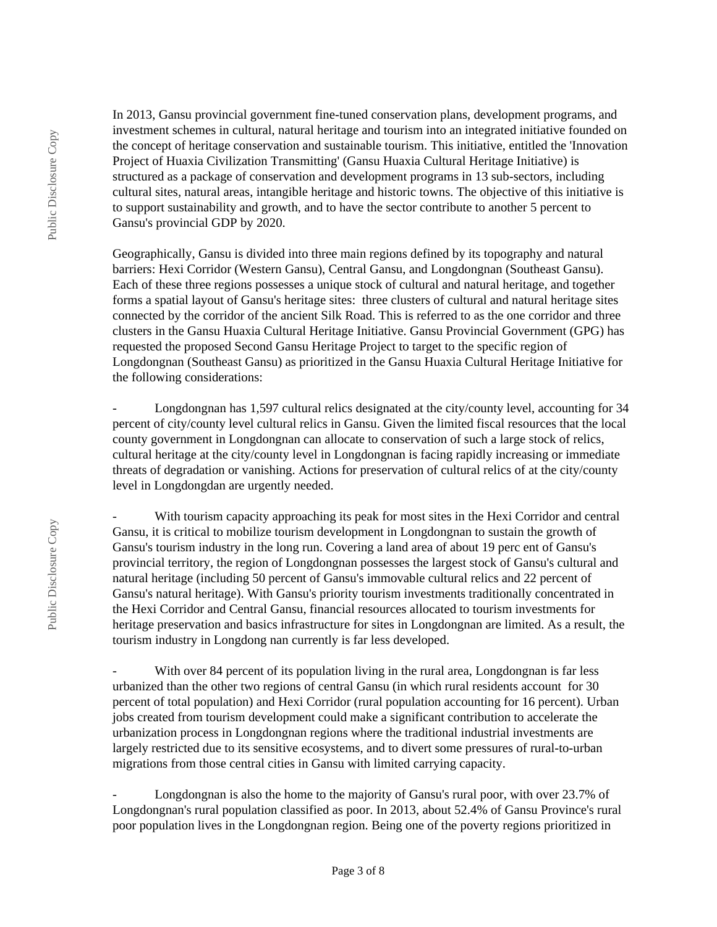In 2013, Gansu provincial government fine-tuned conservation plans, development programs, and investment schemes in cultural, natural heritage and tourism into an integrated initiative founded on the concept of heritage conservation and sustainable tourism. This initiative, entitled the 'Innovation Project of Huaxia Civilization Transmitting' (Gansu Huaxia Cultural Heritage Initiative) is structured as a package of conservation and development programs in 13 sub-sectors, including cultural sites, natural areas, intangible heritage and historic towns. The objective of this initiative is to support sustainability and growth, and to have the sector contribute to another 5 percent to Gansu's provincial GDP by 2020.

Geographically, Gansu is divided into three main regions defined by its topography and natural barriers: Hexi Corridor (Western Gansu), Central Gansu, and Longdongnan (Southeast Gansu). Each of these three regions possesses a unique stock of cultural and natural heritage, and together forms a spatial layout of Gansu's heritage sites: three clusters of cultural and natural heritage sites connected by the corridor of the ancient Silk Road. This is referred to as the one corridor and three clusters in the Gansu Huaxia Cultural Heritage Initiative. Gansu Provincial Government (GPG) has requested the proposed Second Gansu Heritage Project to target to the specific region of Longdongnan (Southeast Gansu) as prioritized in the Gansu Huaxia Cultural Heritage Initiative for the following considerations:

Longdongnan has 1,597 cultural relics designated at the city/county level, accounting for 34 percent of city/county level cultural relics in Gansu. Given the limited fiscal resources that the local county government in Longdongnan can allocate to conservation of such a large stock of relics, cultural heritage at the city/county level in Longdongnan is facing rapidly increasing or immediate threats of degradation or vanishing. Actions for preservation of cultural relics of at the city/county level in Longdongdan are urgently needed.

With tourism capacity approaching its peak for most sites in the Hexi Corridor and central Gansu, it is critical to mobilize tourism development in Longdongnan to sustain the growth of Gansu's tourism industry in the long run. Covering a land area of about 19 perc ent of Gansu's provincial territory, the region of Longdongnan possesses the largest stock of Gansu's cultural and natural heritage (including 50 percent of Gansu's immovable cultural relics and 22 percent of Gansu's natural heritage). With Gansu's priority tourism investments traditionally concentrated in the Hexi Corridor and Central Gansu, financial resources allocated to tourism investments for heritage preservation and basics infrastructure for sites in Longdongnan are limited. As a result, the tourism industry in Longdong nan currently is far less developed.

With over 84 percent of its population living in the rural area, Longdongnan is far less urbanized than the other two regions of central Gansu (in which rural residents account for 30 percent of total population) and Hexi Corridor (rural population accounting for 16 percent). Urban jobs created from tourism development could make a significant contribution to accelerate the urbanization process in Longdongnan regions where the traditional industrial investments are largely restricted due to its sensitive ecosystems, and to divert some pressures of rural-to-urban migrations from those central cities in Gansu with limited carrying capacity.

Longdongnan is also the home to the majority of Gansu's rural poor, with over 23.7% of Longdongnan's rural population classified as poor. In 2013, about 52.4% of Gansu Province's rural poor population lives in the Longdongnan region. Being one of the poverty regions prioritized in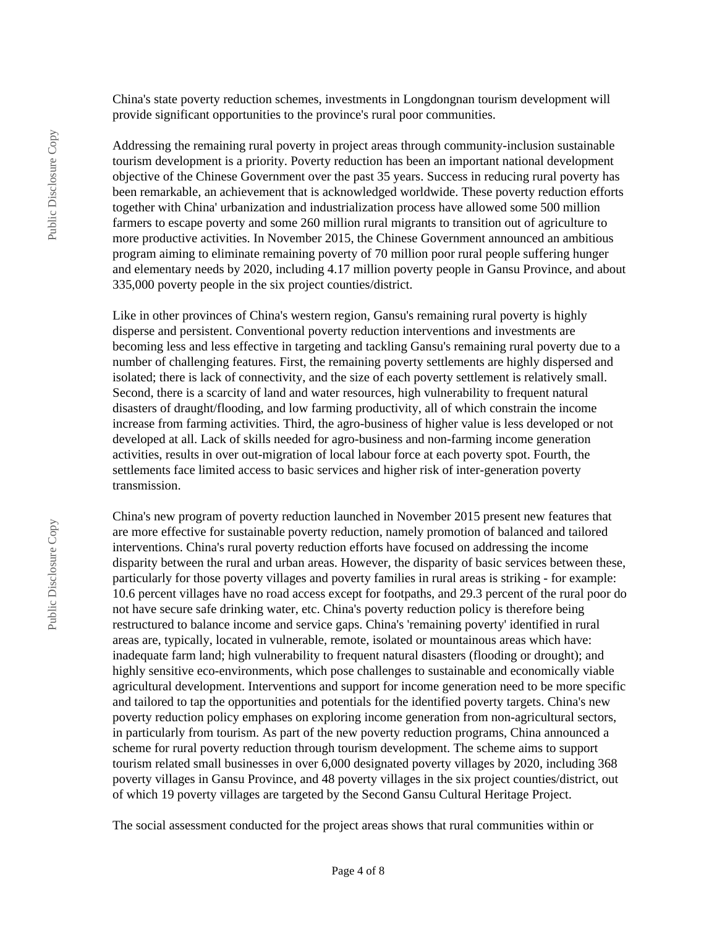China's state poverty reduction schemes, investments in Longdongnan tourism development will provide significant opportunities to the province's rural poor communities.

Addressing the remaining rural poverty in project areas through community-inclusion sustainable tourism development is a priority. Poverty reduction has been an important national development objective of the Chinese Government over the past 35 years. Success in reducing rural poverty has been remarkable, an achievement that is acknowledged worldwide. These poverty reduction efforts together with China' urbanization and industrialization process have allowed some 500 million farmers to escape poverty and some 260 million rural migrants to transition out of agriculture to more productive activities. In November 2015, the Chinese Government announced an ambitious program aiming to eliminate remaining poverty of 70 million poor rural people suffering hunger and elementary needs by 2020, including 4.17 million poverty people in Gansu Province, and about 335,000 poverty people in the six project counties/district.

Like in other provinces of China's western region, Gansu's remaining rural poverty is highly disperse and persistent. Conventional poverty reduction interventions and investments are becoming less and less effective in targeting and tackling Gansu's remaining rural poverty due to a number of challenging features. First, the remaining poverty settlements are highly dispersed and isolated; there is lack of connectivity, and the size of each poverty settlement is relatively small. Second, there is a scarcity of land and water resources, high vulnerability to frequent natural disasters of draught/flooding, and low farming productivity, all of which constrain the income increase from farming activities. Third, the agro-business of higher value is less developed or not developed at all. Lack of skills needed for agro-business and non-farming income generation activities, results in over out-migration of local labour force at each poverty spot. Fourth, the settlements face limited access to basic services and higher risk of inter-generation poverty transmission.

China's new program of poverty reduction launched in November 2015 present new features that are more effective for sustainable poverty reduction, namely promotion of balanced and tailored interventions. China's rural poverty reduction efforts have focused on addressing the income disparity between the rural and urban areas. However, the disparity of basic services between these, particularly for those poverty villages and poverty families in rural areas is striking - for example: 10.6 percent villages have no road access except for footpaths, and 29.3 percent of the rural poor do not have secure safe drinking water, etc. China's poverty reduction policy is therefore being restructured to balance income and service gaps. China's 'remaining poverty' identified in rural areas are, typically, located in vulnerable, remote, isolated or mountainous areas which have: inadequate farm land; high vulnerability to frequent natural disasters (flooding or drought); and highly sensitive eco-environments, which pose challenges to sustainable and economically viable agricultural development. Interventions and support for income generation need to be more specific and tailored to tap the opportunities and potentials for the identified poverty targets. China's new poverty reduction policy emphases on exploring income generation from non-agricultural sectors, in particularly from tourism. As part of the new poverty reduction programs, China announced a scheme for rural poverty reduction through tourism development. The scheme aims to support tourism related small businesses in over 6,000 designated poverty villages by 2020, including 368 poverty villages in Gansu Province, and 48 poverty villages in the six project counties/district, out of which 19 poverty villages are targeted by the Second Gansu Cultural Heritage Project.

The social assessment conducted for the project areas shows that rural communities within or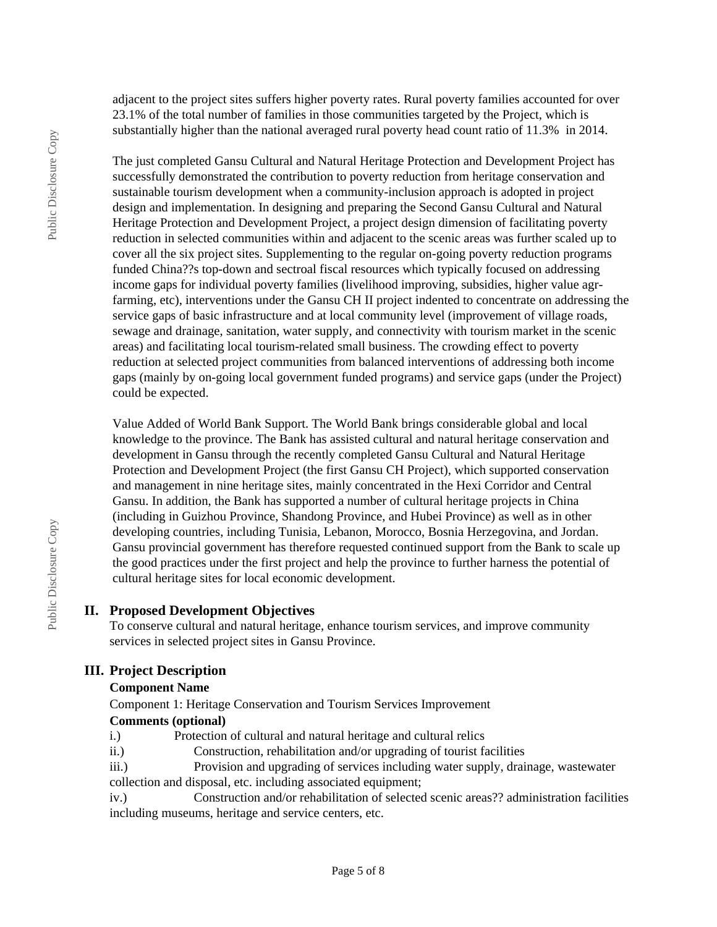adjacent to the project sites suffers higher poverty rates. Rural poverty families accounted for over 23.1% of the total number of families in those communities targeted by the Project, which is substantially higher than the national averaged rural poverty head count ratio of 11.3% in 2014.

The just completed Gansu Cultural and Natural Heritage Protection and Development Project has successfully demonstrated the contribution to poverty reduction from heritage conservation and sustainable tourism development when a community-inclusion approach is adopted in project design and implementation. In designing and preparing the Second Gansu Cultural and Natural Heritage Protection and Development Project, a project design dimension of facilitating poverty reduction in selected communities within and adjacent to the scenic areas was further scaled up to cover all the six project sites. Supplementing to the regular on-going poverty reduction programs funded China??s top-down and sectroal fiscal resources which typically focused on addressing income gaps for individual poverty families (livelihood improving, subsidies, higher value agrfarming, etc), interventions under the Gansu CH II project indented to concentrate on addressing the service gaps of basic infrastructure and at local community level (improvement of village roads, sewage and drainage, sanitation, water supply, and connectivity with tourism market in the scenic areas) and facilitating local tourism-related small business. The crowding effect to poverty reduction at selected project communities from balanced interventions of addressing both income gaps (mainly by on-going local government funded programs) and service gaps (under the Project) could be expected.

Value Added of World Bank Support. The World Bank brings considerable global and local knowledge to the province. The Bank has assisted cultural and natural heritage conservation and development in Gansu through the recently completed Gansu Cultural and Natural Heritage Protection and Development Project (the first Gansu CH Project), which supported conservation and management in nine heritage sites, mainly concentrated in the Hexi Corridor and Central Gansu. In addition, the Bank has supported a number of cultural heritage projects in China (including in Guizhou Province, Shandong Province, and Hubei Province) as well as in other developing countries, including Tunisia, Lebanon, Morocco, Bosnia Herzegovina, and Jordan. Gansu provincial government has therefore requested continued support from the Bank to scale up the good practices under the first project and help the province to further harness the potential of cultural heritage sites for local economic development.

## **II. Proposed Development Objectives**

To conserve cultural and natural heritage, enhance tourism services, and improve community services in selected project sites in Gansu Province.

## **III. Project Description**

## **Component Name**

Component 1: Heritage Conservation and Tourism Services Improvement **Comments (optional)**

- i.) Protection of cultural and natural heritage and cultural relics
- ii.) Construction, rehabilitation and/or upgrading of tourist facilities

iii.) Provision and upgrading of services including water supply, drainage, wastewater collection and disposal, etc. including associated equipment;

iv.) Construction and/or rehabilitation of selected scenic areas?? administration facilities including museums, heritage and service centers, etc.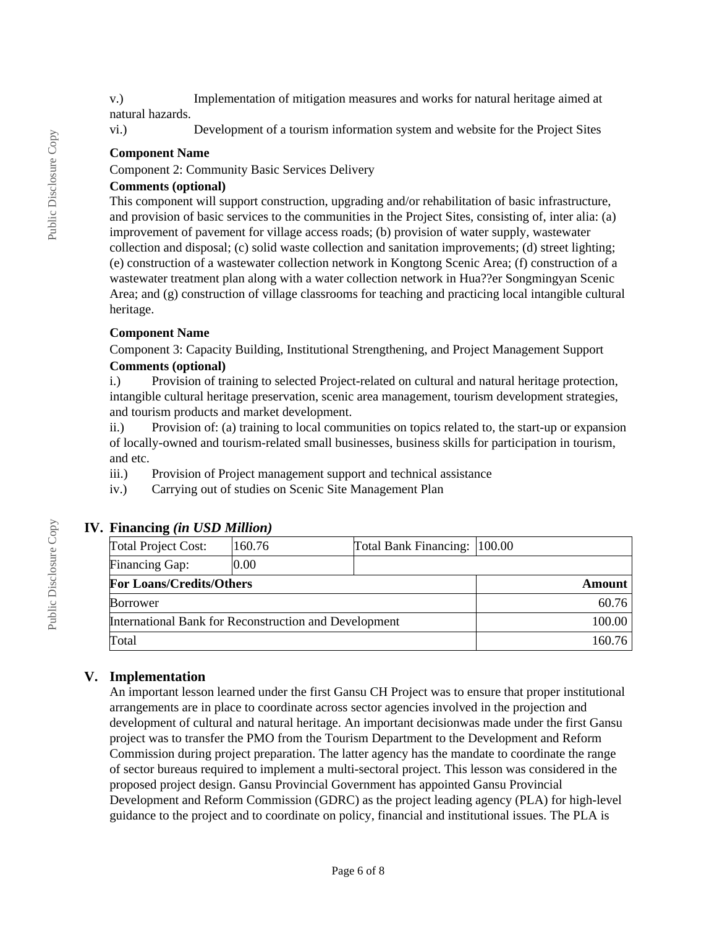v.) Implementation of mitigation measures and works for natural heritage aimed at natural hazards.

vi.) Development of a tourism information system and website for the Project Sites

### **Component Name**

Component 2: Community Basic Services Delivery

## **Comments (optional)**

This component will support construction, upgrading and/or rehabilitation of basic infrastructure, and provision of basic services to the communities in the Project Sites, consisting of, inter alia: (a) improvement of pavement for village access roads; (b) provision of water supply, wastewater collection and disposal; (c) solid waste collection and sanitation improvements; (d) street lighting; (e) construction of a wastewater collection network in Kongtong Scenic Area; (f) construction of a wastewater treatment plan along with a water collection network in Hua??er Songmingyan Scenic Area; and (g) construction of village classrooms for teaching and practicing local intangible cultural heritage.

### **Component Name**

Component 3: Capacity Building, Institutional Strengthening, and Project Management Support **Comments (optional)**

i.) Provision of training to selected Project-related on cultural and natural heritage protection, intangible cultural heritage preservation, scenic area management, tourism development strategies, and tourism products and market development.

ii.) Provision of: (a) training to local communities on topics related to, the start-up or expansion of locally-owned and tourism-related small businesses, business skills for participation in tourism, and etc.

- iii.) Provision of Project management support and technical assistance
- iv.) Carrying out of studies on Scenic Site Management Plan

## **IV. Financing** *(in USD Million)*

| Total Project Cost:                                   | 160.76 | Total Bank Financing: 100.00 |       |
|-------------------------------------------------------|--------|------------------------------|-------|
| Financing Gap:                                        | 0.00   |                              |       |
| <b>For Loans/Credits/Others</b>                       |        | Amount                       |       |
| <b>Borrower</b>                                       |        |                              | 60.76 |
| International Bank for Reconstruction and Development |        | 100.00                       |       |
| Total                                                 |        | 160.76                       |       |

## **V. Implementation**

An important lesson learned under the first Gansu CH Project was to ensure that proper institutional arrangements are in place to coordinate across sector agencies involved in the projection and development of cultural and natural heritage. An important decisionwas made under the first Gansu project was to transfer the PMO from the Tourism Department to the Development and Reform Commission during project preparation. The latter agency has the mandate to coordinate the range of sector bureaus required to implement a multi-sectoral project. This lesson was considered in the proposed project design. Gansu Provincial Government has appointed Gansu Provincial Development and Reform Commission (GDRC) as the project leading agency (PLA) for high-level guidance to the project and to coordinate on policy, financial and institutional issues. The PLA is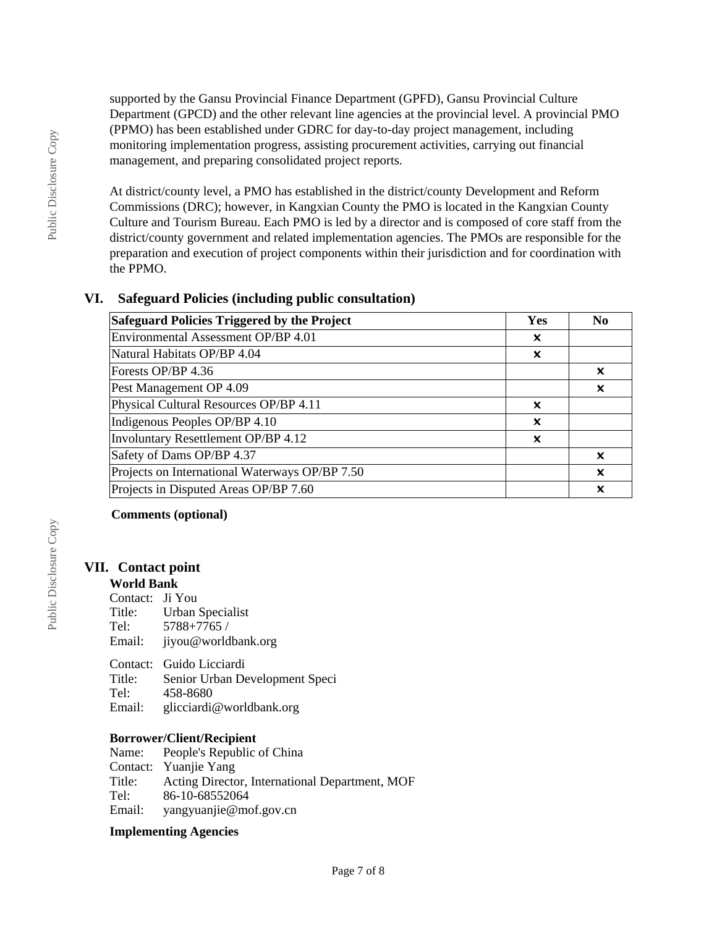supported by the Gansu Provincial Finance Department (GPFD), Gansu Provincial Culture Department (GPCD) and the other relevant line agencies at the provincial level. A provincial PMO (PPMO) has been established under GDRC for day-to-day project management, including monitoring implementation progress, assisting procurement activities, carrying out financial management, and preparing consolidated project reports.

At district/county level, a PMO has established in the district/county Development and Reform Commissions (DRC); however, in Kangxian County the PMO is located in the Kangxian County Culture and Tourism Bureau. Each PMO is led by a director and is composed of core staff from the district/county government and related implementation agencies. The PMOs are responsible for the preparation and execution of project components within their jurisdiction and for coordination with the PPMO.

## **VI. Safeguard Policies (including public consultation)**

| Safeguard Policies Triggered by the Project    | Yes | N <sub>0</sub> |
|------------------------------------------------|-----|----------------|
| Environmental Assessment OP/BP 4.01            | x   |                |
| Natural Habitats OP/BP 4.04                    | ×   |                |
| Forests OP/BP 4.36                             |     | x              |
| Pest Management OP 4.09                        |     | x              |
| Physical Cultural Resources OP/BP 4.11         | ×   |                |
| Indigenous Peoples OP/BP 4.10                  | ×   |                |
| Involuntary Resettlement OP/BP 4.12            | x   |                |
| Safety of Dams OP/BP 4.37                      |     | ×              |
| Projects on International Waterways OP/BP 7.50 |     | X              |
| Projects in Disputed Areas OP/BP 7.60          |     | x              |

#### **Comments (optional)**

#### **VII. Contact point World Bank**

| Contact: Ji You     |
|---------------------|
| Urban Specialist    |
| 5788+7765 /         |
| jiyou@worldbank.org |
|                     |

Contact: Guido Licciardi<br>Title: Senior Urban De Senior Urban Development Speci Tel: 458-8680 Email: glicciardi@worldbank.org

#### **Borrower/Client/Recipient**

| Name:  | People's Republic of China                     |
|--------|------------------------------------------------|
|        | Contact: Yuanjie Yang                          |
| Title: | Acting Director, International Department, MOF |
| Tel:   | 86-10-68552064                                 |
| Email: | yangyuanjie@mof.gov.cn                         |

#### **Implementing Agencies**